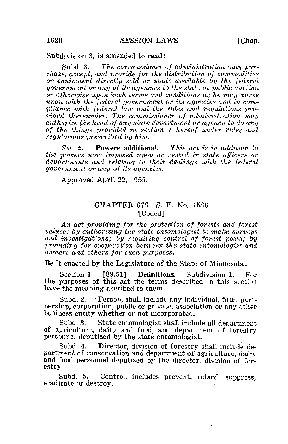Subdivision 3, is amended to read:

Subd. 3. The commissioner of administration may purchase, accept, and provide for the distribution of commodities or equipment directly sold or made available by the federal government or any of its agencies to the state at public auction or otherwise upon such terms and conditions as he may agree upon with the federal government or its agencies and in compliance with federal, law and the rules and regulations provided thereunder. The commissioner of administration may authorize the head of any state department or agency to do any of the things provided in section 1 hereof under rules and regulations prescribed by him.

Sec. 2. Powers additional. This act is in addition to the powers now imposed upon or vested in state officers or departments and relating to their dealings with the federal government or any of its agencies.

Approved April 22, 1955.

## CHAPTER 676—S. F. No. 1586 [Coded]

An act providing for the protection of forests and forest values; by authorizing the state entomologist to make surveys and investigations; by requiring control of forest pests; by providing for cooperation between the state entomologist and owners and others for such purposes.

Be it enacted by the Legislature of the State of Minnesota:

Section 1 [89.51] Definitions. Subdivision 1. For the purposes of this act the terms described in this section have the meaning ascribed to them.

Subd. 2. • Person, shall include any individual, firm, partnership, corporation, public or private, association or any other business entity whether or not incorporated.

Subd. 3. State entomologist shall include all department of agriculture, dairy and food, and department of forestry personnel deputized by the state entomologist.

Subd. 4. Director, division of forestry shall include department of conservation and department of agriculture, dairy and food personnel deputized by the director, division of forestry.

Subd. 5. Control, includes prevent, retard, suppress, eradicate or destroy.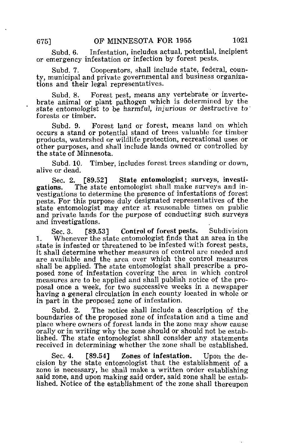Subd. 6. Infestation, includes actual, potential, incipient or emergency infestation or infection by forest pests,

Subd. 7. Cooperators, shall include state, federal, county, municipal and private governmental and business organizations and their legal representatives.

Subd. 8. Forest pest, means any vertebrate or invertebrate animal or plant pathogen which is determined by the state entomologist to be harmful, injurious or destructive to forests or timber.

Subd. 9. Forest land or forest, means land on which occurs a stand or potential stand of trees valuable for timber products, watershed or wildlife protection, recreational uses or other purposes, and shall include lands owned or controlled by the state of Minnesota.

Subd. 10. Timber, includes forest trees standing or down, alive or dead.

Sec. 2. [89.52] State entomologist; surveys, investigations. The state entomologist shall make surveys and in-The state entomologist shall make surveys and investigations to determine the presence of infestations of forest pests. For this purpose duly designated representatives of the state entomologist may enter at reasonable times on public and private lands for the purpose of conducting such surveys and investigations.

Sec. 3. [89.53] Control of forest pests. Subdivision 1. Whenever the state entomologist finds that an area in the state is infested or threatened to be infested with forest pests, it shall determine whether measures of control are needed and are available and the area over which the control measures shall be applied. The state entomologist shall prescribe a proposed zone of infestation covering the area in which control measures are to be applied and shall publish notice of the proposal once a week, for two successive weeks in a newspaper having a general circulation in each county located in whole or in part in the proposed zone of infestation.

Subd. 2. The notice shall include a description of the boundaries of the proposed zone of infestation and a time and place where owners of forest lands in the zone may show cause orally or in writing why the zone should or should not be established. The state entomologist shall consider any statements received in determining whether the zone shall be established.

Sec. 4. [89.54] Zones of infestation. Upon the decision by the state entomologist that the establishment of a zone is necessary, he shall make a written order establishing said zone, and upon making said order, said zone shall be established. Notice of the establishment of the zone shall thereupon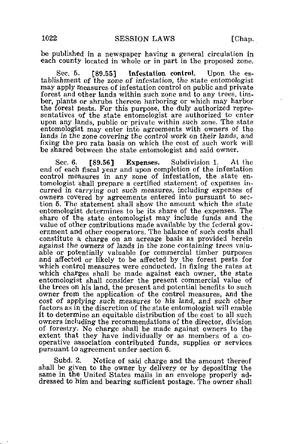be published in a newspaper having a general circulation in each county located in whole or in part in the proposed zone.

Sec. 5. [89.55] Infestation control. Upon the establishment of the zone of infestation, the state entomologist may apply measures of infestation control on public and private forest and other lands within such zone and to any trees, timber, plants or shrubs thereon harboring or which may harbor the forest pests. For this purpose, the duly authorized representatives of the state entomologist are authorized to enter upon any lands, public or private within such zone. The state entomologist may enter into agreements with owners of the lands in the zone covering the control work on their lands, and fixing the pro rata basis on which the cost of such work will be shared between the state entomologist and said owner.

Sec. 6. [89.56] Expenses. Subdivision 1. At the end of each fiscal year and upon completion of the infestation control measures in any zone of infestation, the state entomologist shall prepare a certified statement of expenses incurred in carrying out such measures, including expenses of owners covered by agreements entered into pursuant to section 5. The statement shall show the amount which the state entomologist determines to be its share of the expenses. The share of the state entomologist may include funds and the value of other contributions made available by the federal government and other cooperators. The balance of such costs shall constitute a charge on an acreage basis as provided herein against the owners of lands in the zone containing trees valuable or potentially valuable for commercial timber purposes and affected or likely to be affected by the forest pests for which control measures were conducted. In fixing the rates at which charges shall be made against each owner, the state entomologist shall consider the present commercial value of the trees on his land, the present and potential benefits to such owner from the application of the control measures, and the cost of applying such measures to his land, and such other factors as in the discretion of the state entomologist will enable it to determine an equitable distribution of the cost' to all such owners including the recommendations of the director, division of forestry. No charge shall be made against owners to the extent that they have individually or as members of a cooperative association contributed funds, supplies or services pursuant to agreement under section 6.

Subd. 2. Notice of said charge and the amount thereof shall be given to the owner by delivery or by depositing the same in the United States mails in an envelope properly addressed to him and bearing sufficient postage. The owner shall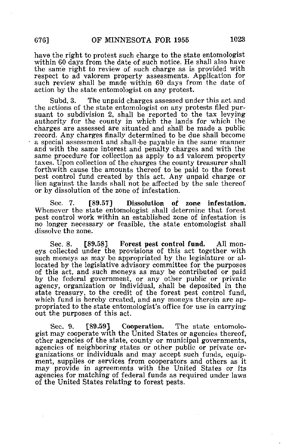have the right to protest such charge to the state entomologist within 60 days from the date of such notice. He shall also have the same right to review of such charge as is provided with respect to ad valorem property assessments. Application for such review shall be made within 60 days from the date of action by the state entomologist on any protest.

Subd. 3. The unpaid charges assessed under this act and the actions of the state entomologist on any protests filed pursuant to subdivision 2, shall be reported to the tax levying authority for the county in which the lands for which the charges are assessed are situated and shall be made a public record. Any charges finally determined to be due shall become a special assessment and shall-be payable in the same manner and with the same interest and penalty charges and with the same procedure for collection as apply to ad valorem property taxes. Upon collection of the charges the county treasurer shall forthwith cause the amounts thereof to be paid to the forest pest control fund created by this act. Any unpaid charge or lien against the lands shall not be affected by the sale thereof or by dissolution of the zone of infestation.

Sec. 7. [89.57] Dissolution of zone infestation. Whenever the state entomologist shall determine that forest pest control work within an established zone of infestation is no longer necessary or feasible, the state entomologist shall dissolve the zone.

Sec. 8. [89.58] Forest pest control fund. All moneys collected under the provisions of this act together with such moneys as may be appropriated by the legislature or allocated by the legislative advisory committee for the purposes of this act, and such moneys as may be contributed or paid by the federal government, or any other public or private agency, organization or individual, shall be deposited in the state treasury, to the credit of the forest pest control fund, which fund is hereby created, and any moneys therein are appropriated to the state entomologist's office for use in carrying out the purposes of this act.

Sec. 9. [89.59] Cooperation. The state entomologist may cooperate with the United States or agencies thereof, other agencies of the state, county or municipal governments, agencies of neighboring states or other public or private organizations or individuals and may accept such funds, equipment, supplies or services from cooperators and others as it may provide in agreements with the United States or its agencies for matching of federal funds as required under laws of the United States relating to forest pests.